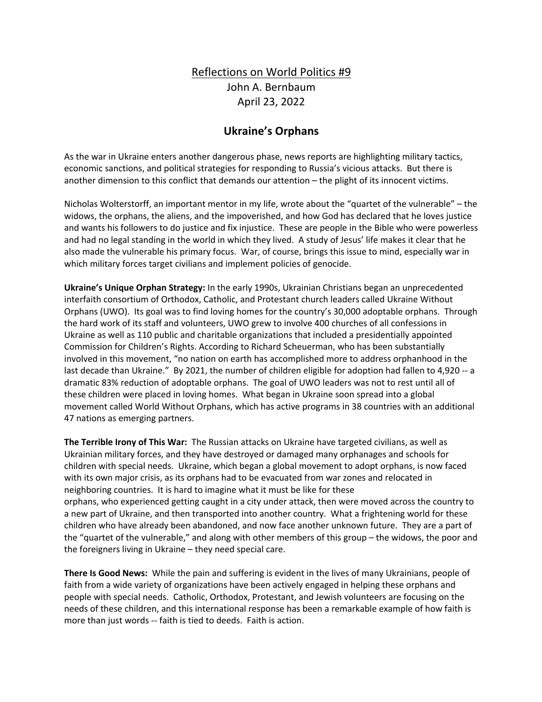## Reflections on World Politics #9 John A. Bernbaum April 23, 2022

## **Ukraine's Orphans**

As the war in Ukraine enters another dangerous phase, news reports are highlighting military tactics, economic sanctions, and political strategies for responding to Russia's vicious attacks. But there is another dimension to this conflict that demands our attention – the plight of its innocent victims.

Nicholas Wolterstorff, an important mentor in my life, wrote about the "quartet of the vulnerable" – the widows, the orphans, the aliens, and the impoverished, and how God has declared that he loves justice and wants his followers to do justice and fix injustice. These are people in the Bible who were powerless and had no legal standing in the world in which they lived. A study of Jesus' life makes it clear that he also made the vulnerable his primary focus. War, of course, brings this issue to mind, especially war in which military forces target civilians and implement policies of genocide.

**Ukraine's Unique Orphan Strategy:** In the early 1990s, Ukrainian Christians began an unprecedented interfaith consortium of Orthodox, Catholic, and Protestant church leaders called Ukraine Without Orphans (UWO). Its goal was to find loving homes for the country's 30,000 adoptable orphans. Through the hard work of its staff and volunteers, UWO grew to involve 400 churches of all confessions in Ukraine as well as 110 public and charitable organizations that included a presidentially appointed Commission for Children's Rights. According to Richard Scheuerman, who has been substantially involved in this movement, "no nation on earth has accomplished more to address orphanhood in the last decade than Ukraine." By 2021, the number of children eligible for adoption had fallen to 4,920 -- a dramatic 83% reduction of adoptable orphans. The goal of UWO leaders was not to rest until all of these children were placed in loving homes. What began in Ukraine soon spread into a global movement called World Without Orphans, which has active programs in 38 countries with an additional 47 nations as emerging partners.

**The Terrible Irony of This War:** The Russian attacks on Ukraine have targeted civilians, as well as Ukrainian military forces, and they have destroyed or damaged many orphanages and schools for children with special needs. Ukraine, which began a global movement to adopt orphans, is now faced with its own major crisis, as its orphans had to be evacuated from war zones and relocated in neighboring countries. It is hard to imagine what it must be like for these orphans, who experienced getting caught in a city under attack, then were moved across the country to a new part of Ukraine, and then transported into another country. What a frightening world for these children who have already been abandoned, and now face another unknown future. They are a part of the "quartet of the vulnerable," and along with other members of this group – the widows, the poor and the foreigners living in Ukraine – they need special care.

**There Is Good News:** While the pain and suffering is evident in the lives of many Ukrainians, people of faith from a wide variety of organizations have been actively engaged in helping these orphans and people with special needs. Catholic, Orthodox, Protestant, and Jewish volunteers are focusing on the needs of these children, and this international response has been a remarkable example of how faith is more than just words -- faith is tied to deeds. Faith is action.